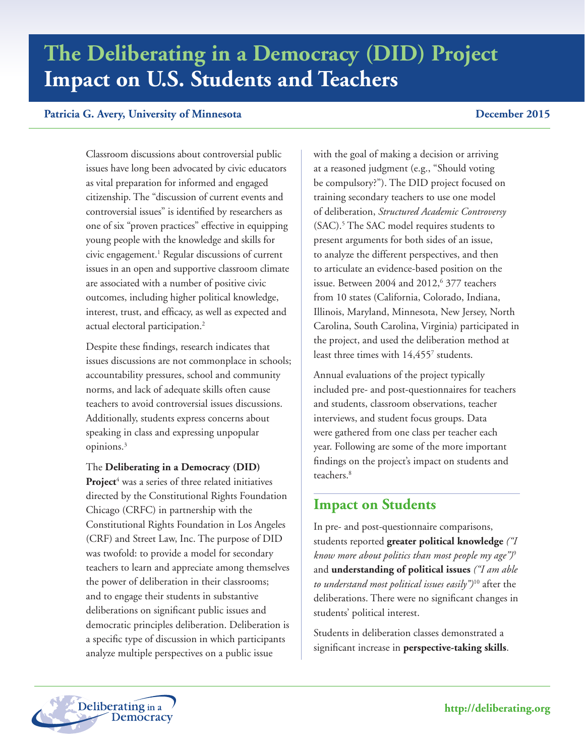# **The Deliberating in a Democracy (DID) Project Impact on U.S. Students and Teachers**

### **Patricia G. Avery, University of Minnesota December 2015**

Classroom discussions about controversial public issues have long been advocated by civic educators as vital preparation for informed and engaged citizenship. The "discussion of current events and controversial issues" is identified by researchers as one of six "proven practices" effective in equipping young people with the knowledge and skills for civic engagement.1 Regular discussions of current issues in an open and supportive classroom climate are associated with a number of positive civic outcomes, including higher political knowledge, interest, trust, and efficacy, as well as expected and actual electoral participation.2

Despite these findings, research indicates that issues discussions are not commonplace in schools; accountability pressures, school and community norms, and lack of adequate skills often cause teachers to avoid controversial issues discussions. Additionally, students express concerns about speaking in class and expressing unpopular opinions.3

The **Deliberating in a Democracy (DID)**  Project<sup>4</sup> was a series of three related initiatives directed by the Constitutional Rights Foundation Chicago (CRFC) in partnership with the Constitutional Rights Foundation in Los Angeles (CRF) and Street Law, Inc. The purpose of DID was twofold: to provide a model for secondary teachers to learn and appreciate among themselves the power of deliberation in their classrooms; and to engage their students in substantive deliberations on significant public issues and democratic principles deliberation. Deliberation is a specific type of discussion in which participants analyze multiple perspectives on a public issue

with the goal of making a decision or arriving at a reasoned judgment (e.g., "Should voting be compulsory?"). The DID project focused on training secondary teachers to use one model of deliberation, *Structured Academic Controversy* (SAC).<sup>5</sup> The SAC model requires students to present arguments for both sides of an issue, to analyze the different perspectives, and then to articulate an evidence-based position on the issue. Between 2004 and 2012,<sup>6</sup> 377 teachers from 10 states (California, Colorado, Indiana, Illinois, Maryland, Minnesota, New Jersey, North Carolina, South Carolina, Virginia) participated in the project, and used the deliberation method at least three times with 14,4557 students.

Annual evaluations of the project typically included pre- and post-questionnaires for teachers and students, classroom observations, teacher interviews, and student focus groups. Data were gathered from one class per teacher each year. Following are some of the more important findings on the project's impact on students and teachers.<sup>8</sup>

# **Impact on Students**

In pre- and post-questionnaire comparisons, students reported **greater political knowledge** *("I know more about politics than most people my age")*<sup>9</sup> and **understanding of political issues** *("I am able to understand most political issues easily")*10 after the deliberations. There were no significant changes in students' political interest.

Students in deliberation classes demonstrated a significant increase in **perspective-taking skills**.

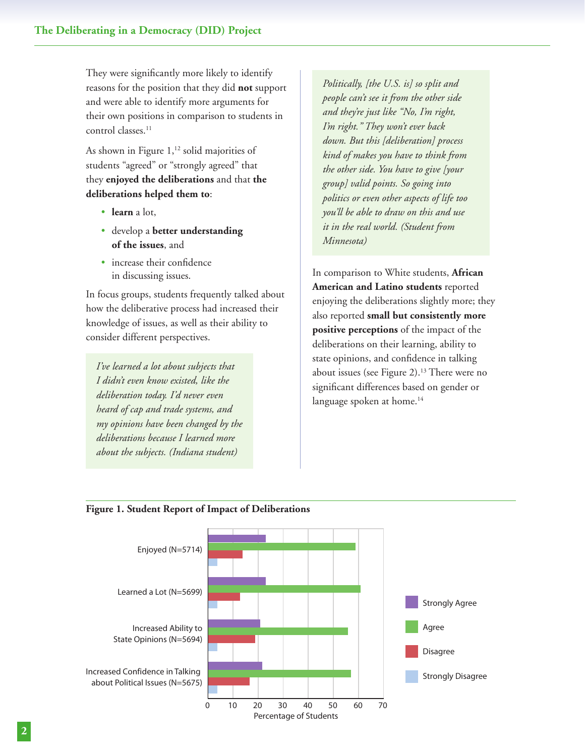They were significantly more likely to identify reasons for the position that they did **not** support and were able to identify more arguments for their own positions in comparison to students in control classes.<sup>11</sup>

As shown in Figure  $1,^{12}$  solid majorities of students "agreed" or "strongly agreed" that they **enjoyed the deliberations** and that **the deliberations helped them to**:

- • **learn** a lot,
- • develop a **better understanding of the issues**, and
- increase their confidence in discussing issues.

In focus groups, students frequently talked about how the deliberative process had increased their knowledge of issues, as well as their ability to consider different perspectives.

*I've learned a lot about subjects that I didn't even know existed, like the deliberation today. I'd never even heard of cap and trade systems, and my opinions have been changed by the deliberations because I learned more about the subjects. (Indiana student)*

*Politically, [the U.S. is] so split and people can't see it from the other side and they're just like "No, I'm right, I'm right." They won't ever back down. But this [deliberation] process kind of makes you have to think from the other side. You have to give [your group] valid points. So going into politics or even other aspects of life too you'll be able to draw on this and use it in the real world. (Student from Minnesota)*

In comparison to White students, **African American and Latino students** reported enjoying the deliberations slightly more; they also reported **small but consistently more positive perceptions** of the impact of the deliberations on their learning, ability to state opinions, and confidence in talking about issues (see Figure 2).13 There were no significant differences based on gender or language spoken at home.<sup>14</sup>



#### **Figure 1. Student Report of Impact of Deliberations**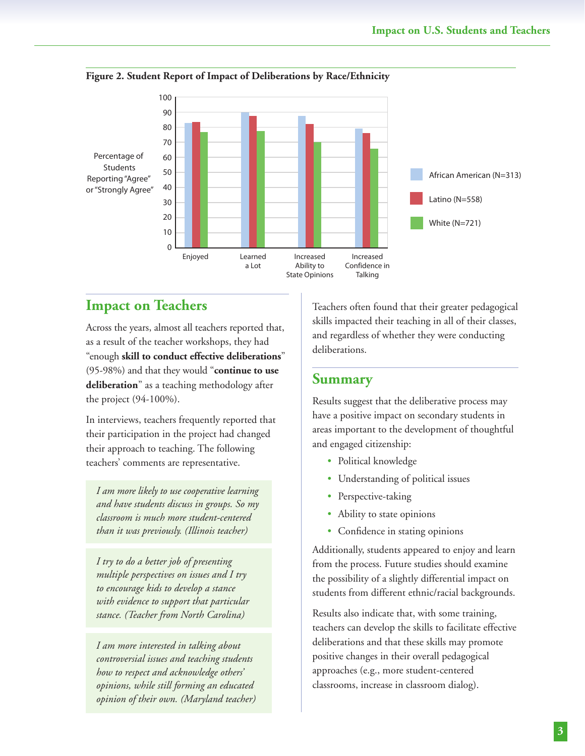

#### **Figure 2. Student Report of Impact of Deliberations by Race/Ethnicity**

# **Impact on Teachers**

Across the years, almost all teachers reported that, as a result of the teacher workshops, they had "enough **skill to conduct effective deliberations**" (95-98%) and that they would "**continue to use deliberation**" as a teaching methodology after the project (94-100%).

In interviews, teachers frequently reported that their participation in the project had changed their approach to teaching. The following teachers' comments are representative.

*I am more likely to use cooperative learning and have students discuss in groups. So my classroom is much more student-centered than it was previously. (Illinois teacher)*

*I try to do a better job of presenting multiple perspectives on issues and I try to encourage kids to develop a stance with evidence to support that particular stance. (Teacher from North Carolina)*

*I am more interested in talking about controversial issues and teaching students how to respect and acknowledge others' opinions, while still forming an educated opinion of their own. (Maryland teacher)*

Teachers often found that their greater pedagogical skills impacted their teaching in all of their classes, and regardless of whether they were conducting deliberations.

## **Summary**

Results suggest that the deliberative process may have a positive impact on secondary students in areas important to the development of thoughtful and engaged citizenship:

- Political knowledge
- Understanding of political issues
- Perspective-taking
- Ability to state opinions
- Confidence in stating opinions

Additionally, students appeared to enjoy and learn from the process. Future studies should examine the possibility of a slightly differential impact on students from different ethnic/racial backgrounds.

Results also indicate that, with some training, teachers can develop the skills to facilitate effective deliberations and that these skills may promote positive changes in their overall pedagogical approaches (e.g., more student-centered classrooms, increase in classroom dialog).